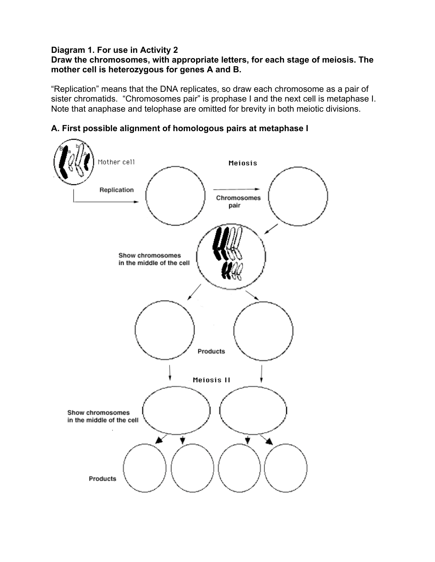## **Diagram 1. For use in Activity 2**

## **Draw the chromosomes, with appropriate letters, for each stage of meiosis. The mother cell is heterozygous for genes A and B.**

"Replication" means that the DNA replicates, so draw each chromosome as a pair of sister chromatids. "Chromosomes pair" is prophase I and the next cell is metaphase I. Note that anaphase and telophase are omitted for brevity in both meiotic divisions.



**A. First possible alignment of homologous pairs at metaphase I**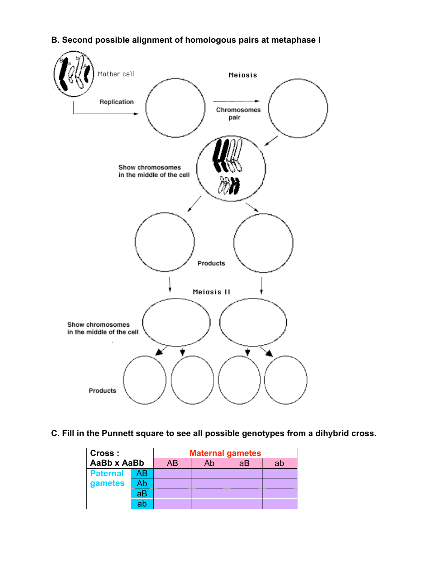# **B. Second possible alignment of homologous pairs at metaphase I**



## **C. Fill in the Punnett square to see all possible genotypes from a dihybrid cross.**

| Cross:<br>AaBb x AaBb |    | <b>Maternal gametes</b> |    |    |    |
|-----------------------|----|-------------------------|----|----|----|
|                       |    | AB                      | Ab | aВ | ab |
| <b>Paternal</b>       | AB |                         |    |    |    |
| gametes               | Ab |                         |    |    |    |
|                       | aB |                         |    |    |    |
|                       | ab |                         |    |    |    |